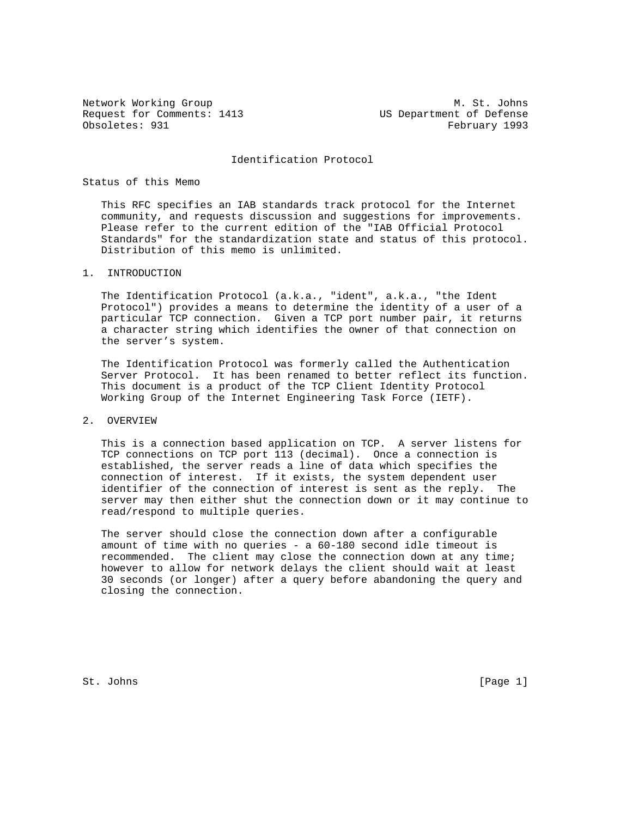Request for Comments: 1413 US Department of Defense Obsoletes: 931 February 1993

Network Working Group Metwork Working Group Metwork Metwork Metal

#### Identification Protocol

## Status of this Memo

 This RFC specifies an IAB standards track protocol for the Internet community, and requests discussion and suggestions for improvements. Please refer to the current edition of the "IAB Official Protocol Standards" for the standardization state and status of this protocol. Distribution of this memo is unlimited.

### 1. INTRODUCTION

 The Identification Protocol (a.k.a., "ident", a.k.a., "the Ident Protocol") provides a means to determine the identity of a user of a particular TCP connection. Given a TCP port number pair, it returns a character string which identifies the owner of that connection on the server's system.

 The Identification Protocol was formerly called the Authentication Server Protocol. It has been renamed to better reflect its function. This document is a product of the TCP Client Identity Protocol Working Group of the Internet Engineering Task Force (IETF).

# 2. OVERVIEW

 This is a connection based application on TCP. A server listens for TCP connections on TCP port 113 (decimal). Once a connection is established, the server reads a line of data which specifies the connection of interest. If it exists, the system dependent user identifier of the connection of interest is sent as the reply. The server may then either shut the connection down or it may continue to read/respond to multiple queries.

 The server should close the connection down after a configurable amount of time with no queries - a 60-180 second idle timeout is recommended. The client may close the connection down at any time; however to allow for network delays the client should wait at least 30 seconds (or longer) after a query before abandoning the query and closing the connection.

St. Johns [Page 1]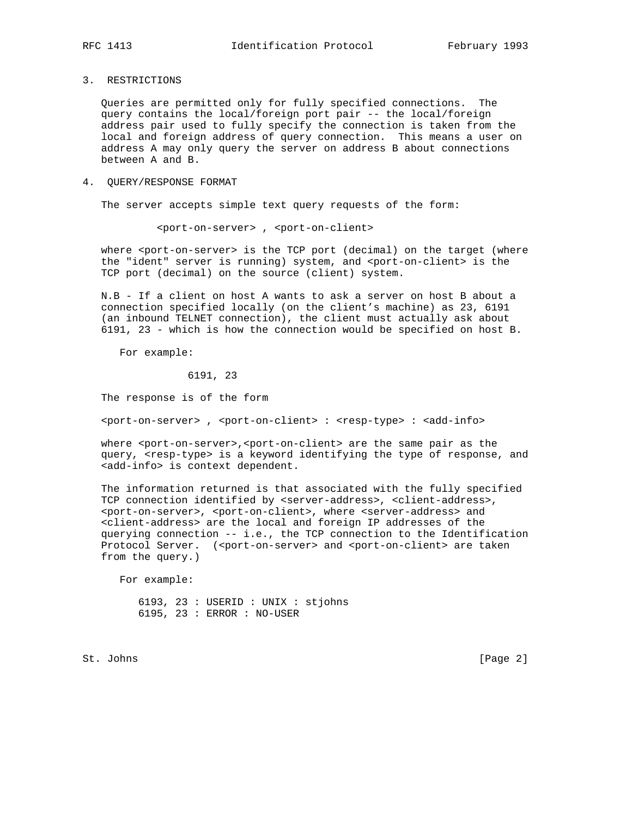3. RESTRICTIONS

 Queries are permitted only for fully specified connections. The query contains the local/foreign port pair -- the local/foreign address pair used to fully specify the connection is taken from the local and foreign address of query connection. This means a user on address A may only query the server on address B about connections between A and B.

#### 4. QUERY/RESPONSE FORMAT

The server accepts simple text query requests of the form:

<port-on-server> , <port-on-client>

where <port-on-server> is the TCP port (decimal) on the target (where the "ident" server is running) system, and <port-on-client> is the TCP port (decimal) on the source (client) system.

 N.B - If a client on host A wants to ask a server on host B about a connection specified locally (on the client's machine) as 23, 6191 (an inbound TELNET connection), the client must actually ask about 6191, 23 - which is how the connection would be specified on host B.

For example:

6191, 23

The response is of the form

<port-on-server> , <port-on-client> : <resp-type> : <add-info>

where <port-on-server>,<port-on-client> are the same pair as the query, <resp-type> is a keyword identifying the type of response, and <add-info> is context dependent.

 The information returned is that associated with the fully specified TCP connection identified by <server-address>, <client-address>, <port-on-server>, <port-on-client>, where <server-address> and <client-address> are the local and foreign IP addresses of the querying connection -- i.e., the TCP connection to the Identification Protocol Server. (<port-on-server> and <port-on-client> are taken from the query.)

For example:

 6193, 23 : USERID : UNIX : stjohns 6195, 23 : ERROR : NO-USER

St. Johns [Page 2]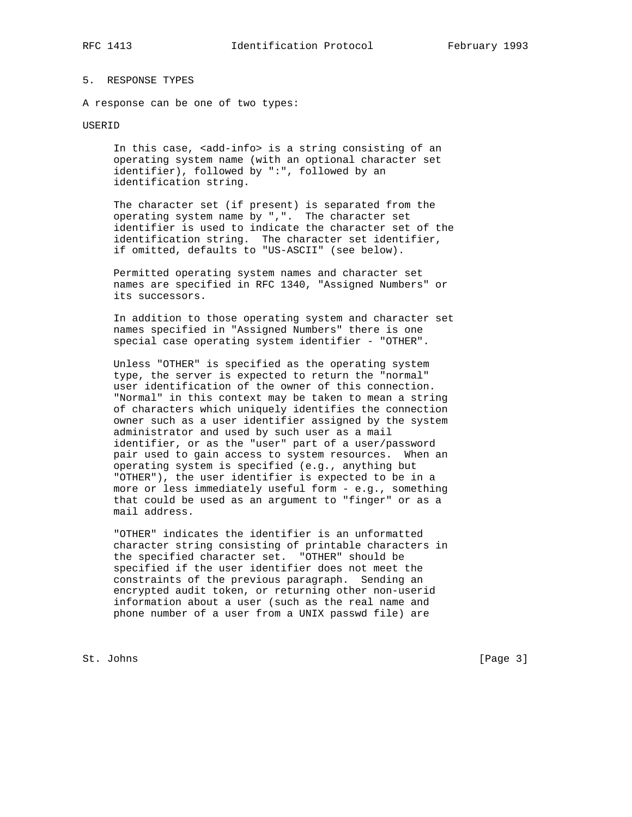# 5. RESPONSE TYPES

A response can be one of two types:

### USERID

In this case, <add-info> is a string consisting of an operating system name (with an optional character set identifier), followed by ":", followed by an identification string.

 The character set (if present) is separated from the operating system name by ",". The character set identifier is used to indicate the character set of the identification string. The character set identifier, if omitted, defaults to "US-ASCII" (see below).

 Permitted operating system names and character set names are specified in RFC 1340, "Assigned Numbers" or its successors.

 In addition to those operating system and character set names specified in "Assigned Numbers" there is one special case operating system identifier - "OTHER".

 Unless "OTHER" is specified as the operating system type, the server is expected to return the "normal" user identification of the owner of this connection. "Normal" in this context may be taken to mean a string of characters which uniquely identifies the connection owner such as a user identifier assigned by the system administrator and used by such user as a mail identifier, or as the "user" part of a user/password pair used to gain access to system resources. When an operating system is specified (e.g., anything but "OTHER"), the user identifier is expected to be in a more or less immediately useful form - e.g., something that could be used as an argument to "finger" or as a mail address.

 "OTHER" indicates the identifier is an unformatted character string consisting of printable characters in the specified character set. "OTHER" should be specified if the user identifier does not meet the constraints of the previous paragraph. Sending an encrypted audit token, or returning other non-userid information about a user (such as the real name and phone number of a user from a UNIX passwd file) are

St. Johns [Page 3]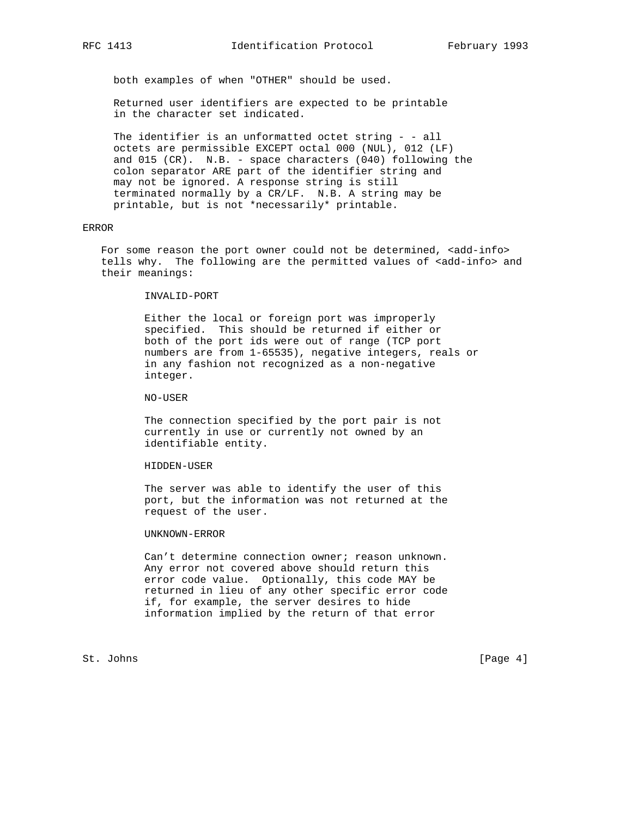both examples of when "OTHER" should be used.

 Returned user identifiers are expected to be printable in the character set indicated.

 The identifier is an unformatted octet string - - all octets are permissible EXCEPT octal 000 (NUL), 012 (LF) and 015 (CR). N.B. - space characters (040) following the colon separator ARE part of the identifier string and may not be ignored. A response string is still terminated normally by a CR/LF. N.B. A string may be printable, but is not \*necessarily\* printable.

## ERROR

For some reason the port owner could not be determined, <add-info> tells why. The following are the permitted values of <add-info> and their meanings:

INVALID-PORT

 Either the local or foreign port was improperly specified. This should be returned if either or both of the port ids were out of range (TCP port numbers are from 1-65535), negative integers, reals or in any fashion not recognized as a non-negative integer.

NO-USER

 The connection specified by the port pair is not currently in use or currently not owned by an identifiable entity.

HIDDEN-USER

 The server was able to identify the user of this port, but the information was not returned at the request of the user.

UNKNOWN-ERROR

 Can't determine connection owner; reason unknown. Any error not covered above should return this error code value. Optionally, this code MAY be returned in lieu of any other specific error code if, for example, the server desires to hide information implied by the return of that error

St. Johns [Page 4]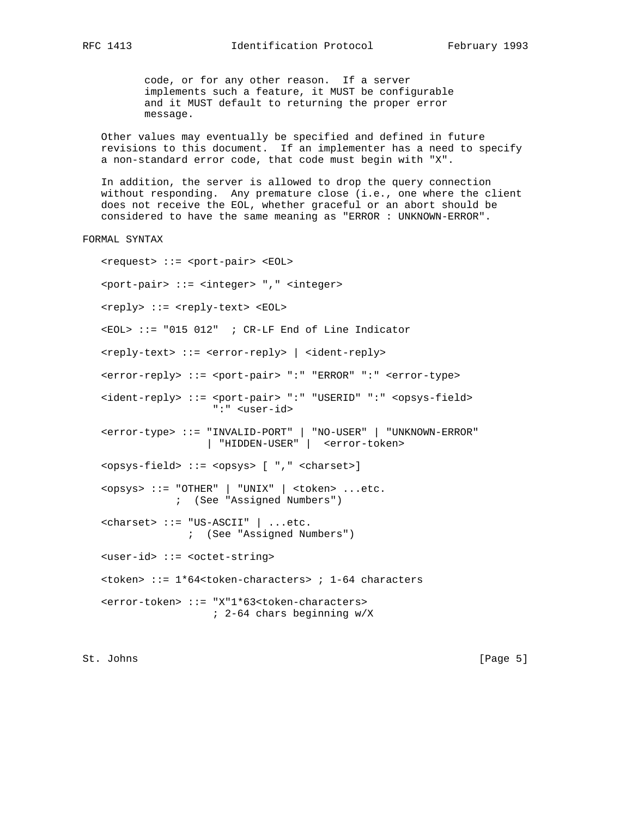code, or for any other reason. If a server implements such a feature, it MUST be configurable and it MUST default to returning the proper error message.

 Other values may eventually be specified and defined in future revisions to this document. If an implementer has a need to specify a non-standard error code, that code must begin with "X".

 In addition, the server is allowed to drop the query connection without responding. Any premature close (i.e., one where the client does not receive the EOL, whether graceful or an abort should be considered to have the same meaning as "ERROR : UNKNOWN-ERROR".

FORMAL SYNTAX

 <request> ::= <port-pair> <EOL> <port-pair> ::= <integer> "," <integer> <reply> ::= <reply-text> <EOL> <EOL> ::= "015 012" ; CR-LF End of Line Indicator <reply-text> ::= <error-reply> | <ident-reply> <error-reply> ::= <port-pair> ":" "ERROR" ":" <error-type> <ident-reply> ::= <port-pair> ":" "USERID" ":" <opsys-field> ":" <user-id> <error-type> ::= "INVALID-PORT" | "NO-USER" | "UNKNOWN-ERROR" | "HIDDEN-USER" | <error-token> <opsys-field> ::= <opsys> [ "," <charset>] <opsys> ::= "OTHER" | "UNIX" | <token> ...etc. ; (See "Assigned Numbers") <charset> ::= "US-ASCII" | ...etc. ; (See "Assigned Numbers") <user-id> ::= <octet-string> <token> ::= 1\*64<token-characters> ; 1-64 characters <error-token> ::= "X"1\*63<token-characters> ; 2-64 chars beginning w/X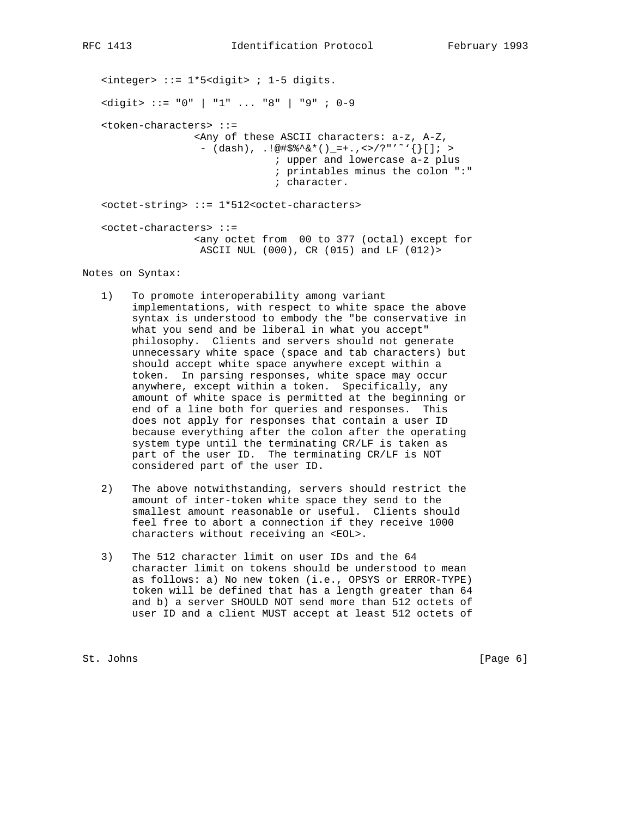<integer> ::= 1\*5<digit> ; 1-5 digits. <digit> ::= "0" | "1" ... "8" | "9" ; 0-9 <token-characters> ::= <Any of these ASCII characters: a-z, A-Z,  $-$  (dash),  $.!\@if_{*}^*{\circ}^*{\circ}^*()_{-}=+$ ., <>/?"' ~``{}[]; > ; upper and lowercase a-z plus ; printables minus the colon ":" ; character. <octet-string> ::= 1\*512<octet-characters> <octet-characters> ::= <any octet from 00 to 377 (octal) except for ASCII NUL (000), CR (015) and LF (012)>

Notes on Syntax:

- 1) To promote interoperability among variant implementations, with respect to white space the above syntax is understood to embody the "be conservative in what you send and be liberal in what you accept" philosophy. Clients and servers should not generate unnecessary white space (space and tab characters) but should accept white space anywhere except within a token. In parsing responses, white space may occur anywhere, except within a token. Specifically, any amount of white space is permitted at the beginning or end of a line both for queries and responses. This does not apply for responses that contain a user ID because everything after the colon after the operating system type until the terminating CR/LF is taken as part of the user ID. The terminating CR/LF is NOT considered part of the user ID.
- 2) The above notwithstanding, servers should restrict the amount of inter-token white space they send to the smallest amount reasonable or useful. Clients should feel free to abort a connection if they receive 1000 characters without receiving an <EOL>.
- 3) The 512 character limit on user IDs and the 64 character limit on tokens should be understood to mean as follows: a) No new token (i.e., OPSYS or ERROR-TYPE) token will be defined that has a length greater than 64 and b) a server SHOULD NOT send more than 512 octets of user ID and a client MUST accept at least 512 octets of

St. Johns [Page 6]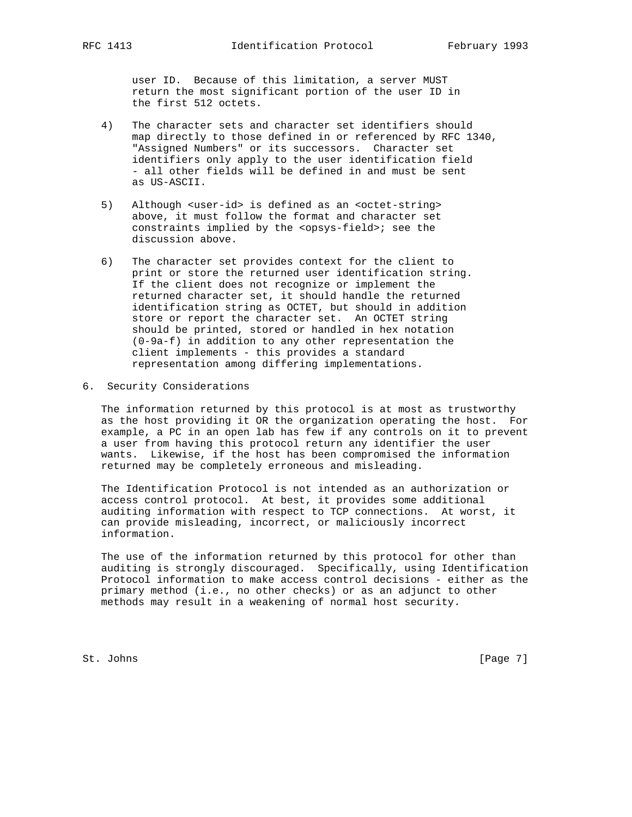user ID. Because of this limitation, a server MUST return the most significant portion of the user ID in the first 512 octets.

- 4) The character sets and character set identifiers should map directly to those defined in or referenced by RFC 1340, "Assigned Numbers" or its successors. Character set identifiers only apply to the user identification field - all other fields will be defined in and must be sent as US-ASCII.
- 5) Although <user-id> is defined as an <octet-string> above, it must follow the format and character set constraints implied by the <opsys-field>; see the discussion above.
- 6) The character set provides context for the client to print or store the returned user identification string. If the client does not recognize or implement the returned character set, it should handle the returned identification string as OCTET, but should in addition store or report the character set. An OCTET string should be printed, stored or handled in hex notation (0-9a-f) in addition to any other representation the client implements - this provides a standard representation among differing implementations.
- 6. Security Considerations

 The information returned by this protocol is at most as trustworthy as the host providing it OR the organization operating the host. For example, a PC in an open lab has few if any controls on it to prevent a user from having this protocol return any identifier the user wants. Likewise, if the host has been compromised the information returned may be completely erroneous and misleading.

 The Identification Protocol is not intended as an authorization or access control protocol. At best, it provides some additional auditing information with respect to TCP connections. At worst, it can provide misleading, incorrect, or maliciously incorrect information.

 The use of the information returned by this protocol for other than auditing is strongly discouraged. Specifically, using Identification Protocol information to make access control decisions - either as the primary method (i.e., no other checks) or as an adjunct to other methods may result in a weakening of normal host security.

St. Johns [Page 7]